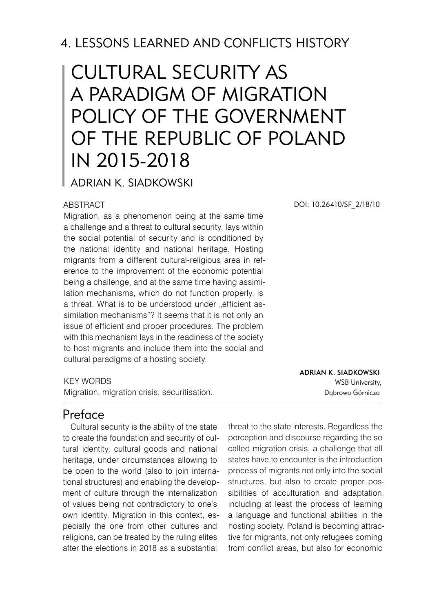# 4. LESSONS LEARNED AND CONFLICTS HISTORY

# Cultural security as a paradigm of migration policy of the Government of the Republic of Poland in 2015-2018

Adrian K. Siadkowski

#### ABSTRACT

Migration, as a phenomenon being at the same time a challenge and a threat to cultural security, lays within the social potential of security and is conditioned by the national identity and national heritage. Hosting migrants from a different cultural-religious area in reference to the improvement of the economic potential being a challenge, and at the same time having assimilation mechanisms, which do not function properly, is a threat. What is to be understood under "efficient assimilation mechanisms"? It seems that it is not only an issue of efficient and proper procedures. The problem with this mechanism lays in the readiness of the society to host migrants and include them into the social and cultural paradigms of a hosting society.

#### KEY WORDS

Migration, migration crisis, securitisation.

Preface

Cultural security is the ability of the state to create the foundation and security of cultural identity, cultural goods and national heritage, under circumstances allowing to be open to the world (also to join international structures) and enabling the development of culture through the internalization of values being not contradictory to one's own identity. Migration in this context, especially the one from other cultures and religions, can be treated by the ruling elites after the elections in 2018 as a substantial

threat to the state interests. Regardless the perception and discourse regarding the so called migration crisis, a challenge that all states have to encounter is the introduction process of migrants not only into the social structures, but also to create proper possibilities of acculturation and adaptation, including at least the process of learning a language and functional abilities in the hosting society. Poland is becoming attractive for migrants, not only refugees coming from conflict areas, but also for economic

DOI: 10.26410/SF\_2/18/10

Adrian K. Siadkowski WSB University, Dąbrowa Górnicza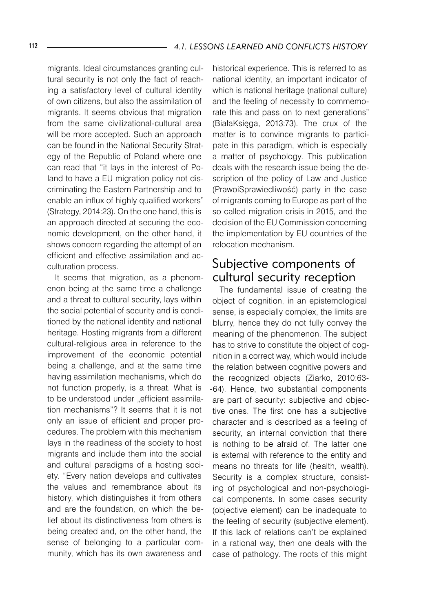migrants. Ideal circumstances granting cultural security is not only the fact of reaching a satisfactory level of cultural identity of own citizens, but also the assimilation of migrants. It seems obvious that migration from the same civilizational-cultural area will be more accepted. Such an approach can be found in the National Security Strategy of the Republic of Poland where one can read that "it lays in the interest of Poland to have a EU migration policy not discriminating the Eastern Partnership and to enable an influx of highly qualified workers" (Strategy, 2014:23). On the one hand, this is an approach directed at securing the economic development, on the other hand, it shows concern regarding the attempt of an efficient and effective assimilation and acculturation process.

It seems that migration, as a phenomenon being at the same time a challenge and a threat to cultural security, lays within the social potential of security and is conditioned by the national identity and national heritage. Hosting migrants from a different cultural-religious area in reference to the improvement of the economic potential being a challenge, and at the same time having assimilation mechanisms, which do not function properly, is a threat. What is to be understood under "efficient assimilation mechanisms"? It seems that it is not only an issue of efficient and proper procedures. The problem with this mechanism lays in the readiness of the society to host migrants and include them into the social and cultural paradigms of a hosting society. "Every nation develops and cultivates the values and remembrance about its history, which distinguishes it from others and are the foundation, on which the belief about its distinctiveness from others is being created and, on the other hand, the sense of belonging to a particular community, which has its own awareness and

historical experience. This is referred to as national identity, an important indicator of which is national heritage (national culture) and the feeling of necessity to commemorate this and pass on to next generations" (BiałaKsięga, 2013:73). The crux of the matter is to convince migrants to participate in this paradigm, which is especially a matter of psychology. This publication deals with the research issue being the description of the policy of Law and Justice (PrawoiSprawiedliwość) party in the case of migrants coming to Europe as part of the so called migration crisis in 2015, and the decision of the EU Commission concerning the implementation by EU countries of the relocation mechanism.

#### Subjective components of cultural security reception

The fundamental issue of creating the object of cognition, in an epistemological sense, is especially complex, the limits are blurry, hence they do not fully convey the meaning of the phenomenon. The subject has to strive to constitute the object of cognition in a correct way, which would include the relation between cognitive powers and the recognized objects (Ziarko, 2010:63- -64). Hence, two substantial components are part of security: subjective and objective ones. The first one has a subjective character and is described as a feeling of security, an internal conviction that there is nothing to be afraid of. The latter one is external with reference to the entity and means no threats for life (health, wealth). Security is a complex structure, consisting of psychological and non-psychological components. In some cases security (objective element) can be inadequate to the feeling of security (subjective element). If this lack of relations can't be explained in a rational way, then one deals with the case of pathology. The roots of this might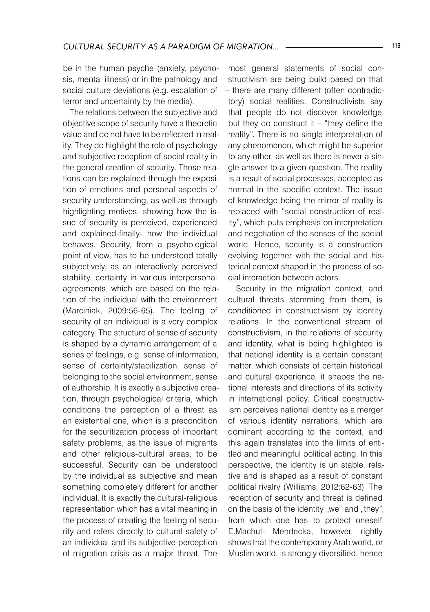be in the human psyche (anxiety, psychosis, mental illness) or in the pathology and social culture deviations (e.g. escalation of terror and uncertainty by the media).

The relations between the subjective and objective scope of security have a theoretic value and do not have to be reflected in reality. They do highlight the role of psychology and subjective reception of social reality in the general creation of security. Those relations can be explained through the exposition of emotions and personal aspects of security understanding, as well as through highlighting motives, showing how the issue of security is perceived, experienced and explained-finally- how the individual behaves. Security, from a psychological point of view, has to be understood totally subjectively, as an interactively perceived stability, certainty in various interpersonal agreements, which are based on the relation of the individual with the environment (Marciniak, 2009:56-65). The feeling of security of an individual is a very complex category. The structure of sense of security is shaped by a dynamic arrangement of a series of feelings, e.g. sense of information, sense of certainty/stabilization, sense of belonging to the social environment, sense of authorship. It is exactly a subjective creation, through psychological criteria, which conditions the perception of a threat as an existential one, which is a precondition for the securitization process of important safety problems, as the issue of migrants and other religious-cultural areas, to be successful. Security can be understood by the individual as subjective and mean something completely different for another individual. It is exactly the cultural-religious representation which has a vital meaning in the process of creating the feeling of security and refers directly to cultural safety of an individual and its subjective perception of migration crisis as a major threat. The

most general statements of social constructivism are being build based on that – there are many different (often contradictory) social realities. Constructivists say that people do not discover knowledge, but they do construct it  $-$  "they define the reality". There is no single interpretation of any phenomenon, which might be superior to any other, as well as there is never a single answer to a given question. The reality is a result of social processes, accepted as normal in the specific context. The issue of knowledge being the mirror of reality is replaced with "social construction of reality", which puts emphasis on interpretation and negotiation of the senses of the social world. Hence, security is a construction evolving together with the social and historical context shaped in the process of social interaction between actors.

Security in the migration context, and cultural threats stemming from them, is conditioned in constructivism by identity relations. In the conventional stream of constructivism, in the relations of security and identity, what is being highlighted is that national identity is a certain constant matter, which consists of certain historical and cultural experience, it shapes the national interests and directions of its activity in international policy. Critical constructivism perceives national identity as a merger of various identity narrations, which are dominant according to the context, and this again translates into the limits of entitled and meaningful political acting. In this perspective, the identity is un stable, relative and is shaped as a result of constant political rivalry (Williams, 2012:62-63). The reception of security and threat is defined on the basis of the identity "we" and "they", from which one has to protect oneself. E.Machut- Mendecka, however, rightly shows that the contemporary Arab world, or Muslim world, is strongly diversified, hence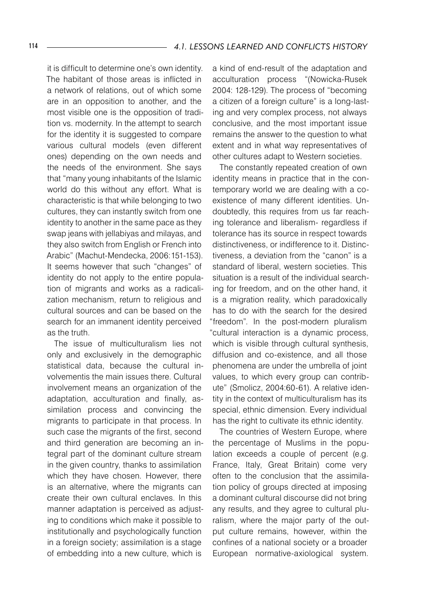it is difficult to determine one's own identity. The habitant of those areas is inflicted in a network of relations, out of which some are in an opposition to another, and the most visible one is the opposition of tradition vs. modernity. In the attempt to search for the identity it is suggested to compare various cultural models (even different ones) depending on the own needs and the needs of the environment. She says that "many young inhabitants of the Islamic world do this without any effort. What is characteristic is that while belonging to two cultures, they can instantly switch from one identity to another in the same pace as they swap jeans with jellabiyas and milayas, and they also switch from English or French into Arabic" (Machut-Mendecka, 2006:151-153). It seems however that such "changes" of identity do not apply to the entire population of migrants and works as a radicalization mechanism, return to religious and cultural sources and can be based on the search for an immanent identity perceived as the truth.

The issue of multiculturalism lies not only and exclusively in the demographic statistical data, because the cultural involvementis the main issues there. Cultural involvement means an organization of the adaptation, acculturation and finally, assimilation process and convincing the migrants to participate in that process. In such case the migrants of the first, second and third generation are becoming an integral part of the dominant culture stream in the given country, thanks to assimilation which they have chosen. However, there is an alternative, where the migrants can create their own cultural enclaves. In this manner adaptation is perceived as adjusting to conditions which make it possible to institutionally and psychologically function in a foreign society; assimilation is a stage of embedding into a new culture, which is

a kind of end-result of the adaptation and acculturation process "(Nowicka-Rusek 2004: 128-129). The process of "becoming a citizen of a foreign culture" is a long-lasting and very complex process, not always conclusive, and the most important issue remains the answer to the question to what extent and in what way representatives of other cultures adapt to Western societies.

The constantly repeated creation of own identity means in practice that in the contemporary world we are dealing with a coexistence of many different identities. Undoubtedly, this requires from us far reaching tolerance and liberalism- regardless if tolerance has its source in respect towards distinctiveness, or indifference to it. Distinctiveness, a deviation from the "canon" is a standard of liberal, western societies. This situation is a result of the individual searching for freedom, and on the other hand, it is a migration reality, which paradoxically has to do with the search for the desired "freedom". In the post-modern pluralism "cultural interaction is a dynamic process, which is visible through cultural synthesis, diffusion and co-existence, and all those phenomena are under the umbrella of joint values, to which every group can contribute" (Smolicz, 2004:60-61). A relative identity in the context of multiculturalism has its special, ethnic dimension. Every individual has the right to cultivate its ethnic identity.

The countries of Western Europe, where the percentage of Muslims in the population exceeds a couple of percent (e.g. France, Italy, Great Britain) come very often to the conclusion that the assimilation policy of groups directed at imposing a dominant cultural discourse did not bring any results, and they agree to cultural pluralism, where the major party of the output culture remains, however, within the confines of a national society or a broader European normative-axiological system.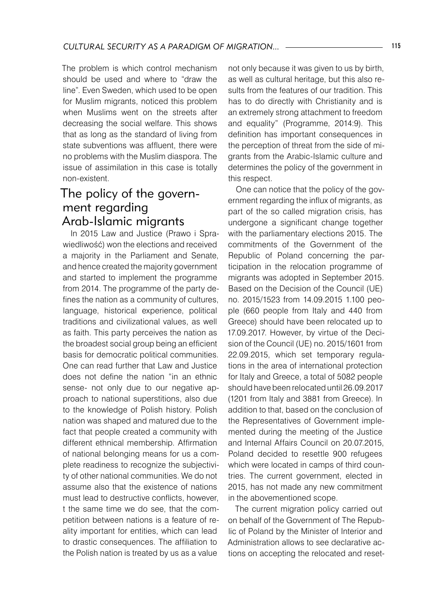The problem is which control mechanism should be used and where to "draw the line". Even Sweden, which used to be open for Muslim migrants, noticed this problem when Muslims went on the streets after decreasing the social welfare. This shows that as long as the standard of living from state subventions was affluent, there were no problems with the Muslim diaspora. The issue of assimilation in this case is totally non-existent.

## The policy of the government regarding Arab-Islamic migrants

In 2015 Law and Justice (Prawo i Sprawiedliwość) won the elections and received a majority in the Parliament and Senate, and hence created the majority government and started to implement the programme from 2014. The programme of the party defines the nation as a community of cultures, language, historical experience, political traditions and civilizational values, as well as faith. This party perceives the nation as the broadest social group being an efficient basis for democratic political communities. One can read further that Law and Justice does not define the nation "in an ethnic sense- not only due to our negative approach to national superstitions, also due to the knowledge of Polish history. Polish nation was shaped and matured due to the fact that people created a community with different ethnical membership. Affirmation of national belonging means for us a complete readiness to recognize the subjectivity of other national communities. We do not assume also that the existence of nations must lead to destructive conflicts, however, t the same time we do see, that the competition between nations is a feature of reality important for entities, which can lead to drastic consequences. The affiliation to the Polish nation is treated by us as a value

not only because it was given to us by birth, as well as cultural heritage, but this also results from the features of our tradition. This has to do directly with Christianity and is an extremely strong attachment to freedom and equality" (Programme, 2014:9). This definition has important consequences in the perception of threat from the side of migrants from the Arabic-Islamic culture and determines the policy of the government in this respect.

One can notice that the policy of the government regarding the influx of migrants, as part of the so called migration crisis, has undergone a significant change together with the parliamentary elections 2015. The commitments of the Government of the Republic of Poland concerning the participation in the relocation programme of migrants was adopted in September 2015. Based on the Decision of the Council (UE) no. 2015/1523 from 14.09.2015 1.100 people (660 people from Italy and 440 from Greece) should have been relocated up to 17.09.2017. However, by virtue of the Decision of the Council (UE) no. 2015/1601 from 22.09.2015, which set temporary regulations in the area of international protection for Italy and Greece, a total of 5082 people should have been relocated until 26.09.2017 (1201 from Italy and 3881 from Greece). In addition to that, based on the conclusion of the Representatives of Government implemented during the meeting of the Justice and Internal Affairs Council on 20.07.2015, Poland decided to resettle 900 refugees which were located in camps of third countries. The current government, elected in 2015, has not made any new commitment in the abovementioned scope.

The current migration policy carried out on behalf of the Government of The Republic of Poland by the Minister of Interior and Administration allows to see declarative actions on accepting the relocated and reset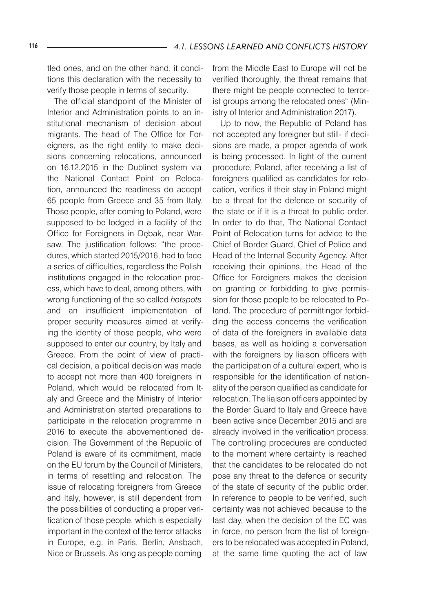tled ones, and on the other hand, it conditions this declaration with the necessity to verify those people in terms of security.

The official standpoint of the Minister of Interior and Administration points to an institutional mechanism of decision about migrants. The head of The Office for Foreigners, as the right entity to make decisions concerning relocations, announced on 16.12.2015 in the Dublinet system via the National Contact Point on Relocation, announced the readiness do accept 65 people from Greece and 35 from Italy. Those people, after coming to Poland, were supposed to be lodged in a facility of the Office for Foreigners in Dębak, near Warsaw. The justification follows: "the procedures, which started 2015/2016, had to face a series of difficulties, regardless the Polish institutions engaged in the relocation process, which have to deal, among others, with wrong functioning of the so called *hotspots* and an insufficient implementation of proper security measures aimed at verifying the identity of those people, who were supposed to enter our country, by Italy and Greece. From the point of view of practical decision, a political decision was made to accept not more than 400 foreigners in Poland, which would be relocated from Italy and Greece and the Ministry of Interior and Administration started preparations to participate in the relocation programme in 2016 to execute the abovementioned decision. The Government of the Republic of Poland is aware of its commitment, made on the EU forum by the Council of Ministers, in terms of resettling and relocation. The issue of relocating foreigners from Greece and Italy, however, is still dependent from the possibilities of conducting a proper verification of those people, which is especially important in the context of the terror attacks in Europe, e.g. in Paris, Berlin, Ansbach, Nice or Brussels. As long as people coming

from the Middle East to Europe will not be verified thoroughly, the threat remains that there might be people connected to terrorist groups among the relocated ones" (Ministry of Interior and Administration 2017).

Up to now, the Republic of Poland has not accepted any foreigner but still- if decisions are made, a proper agenda of work is being processed. In light of the current procedure, Poland, after receiving a list of foreigners qualified as candidates for relocation, verifies if their stay in Poland might be a threat for the defence or security of the state or if it is a threat to public order. In order to do that, The National Contact Point of Relocation turns for advice to the Chief of Border Guard, Chief of Police and Head of the Internal Security Agency. After receiving their opinions, the Head of the Office for Foreigners makes the decision on granting or forbidding to give permission for those people to be relocated to Poland. The procedure of permittingor forbidding the access concerns the verification of data of the foreigners in available data bases, as well as holding a conversation with the foreigners by liaison officers with the participation of a cultural expert, who is responsible for the identification of nationality of the person qualified as candidate for relocation. The liaison officers appointed by the Border Guard to Italy and Greece have been active since December 2015 and are already involved in the verification process. The controlling procedures are conducted to the moment where certainty is reached that the candidates to be relocated do not pose any threat to the defence or security of the state of security of the public order. In reference to people to be verified, such certainty was not achieved because to the last day, when the decision of the EC was in force, no person from the list of foreigners to be relocated was accepted in Poland, at the same time quoting the act of law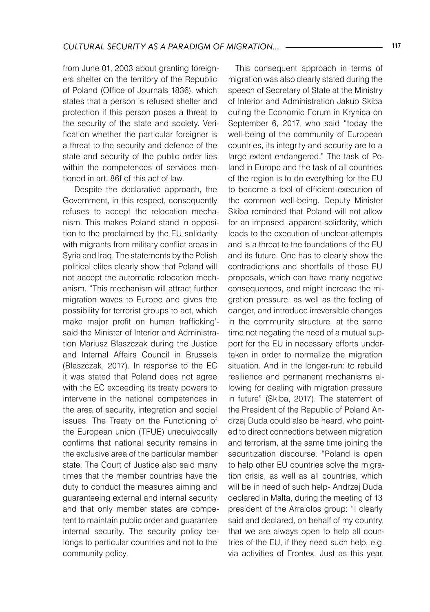from June 01, 2003 about granting foreigners shelter on the territory of the Republic of Poland (Office of Journals 1836), which states that a person is refused shelter and protection if this person poses a threat to the security of the state and society. Verification whether the particular foreigner is a threat to the security and defence of the state and security of the public order lies within the competences of services mentioned in art. 86f of this act of law.

 Despite the declarative approach, the Government, in this respect, consequently refuses to accept the relocation mechanism. This makes Poland stand in opposition to the proclaimed by the EU solidarity with migrants from military conflict areas in Syria and Iraq. The statements by the Polish political elites clearly show that Poland will not accept the automatic relocation mechanism. "This mechanism will attract further migration waves to Europe and gives the possibility for terrorist groups to act, which make major profit on human trafficking' said the Minister of Interior and Administration Mariusz Błaszczak during the Justice and Internal Affairs Council in Brussels (Błaszczak, 2017). In response to the EC it was stated that Poland does not agree with the EC exceeding its treaty powers to intervene in the national competences in the area of security, integration and social issues. The Treaty on the Functioning of the European union (TFUE) unequivocally confirms that national security remains in the exclusive area of the particular member state. The Court of Justice also said many times that the member countries have the duty to conduct the measures aiming and guaranteeing external and internal security and that only member states are competent to maintain public order and guarantee internal security. The security policy belongs to particular countries and not to the community policy.

This consequent approach in terms of migration was also clearly stated during the speech of Secretary of State at the Ministry of Interior and Administration Jakub Skiba during the Economic Forum in Krynica on September 6, 2017, who said "today the well-being of the community of European countries, its integrity and security are to a large extent endangered." The task of Poland in Europe and the task of all countries of the region is to do everything for the EU to become a tool of efficient execution of the common well-being. Deputy Minister Skiba reminded that Poland will not allow for an imposed, apparent solidarity, which leads to the execution of unclear attempts and is a threat to the foundations of the EU and its future. One has to clearly show the contradictions and shortfalls of those EU proposals, which can have many negative consequences, and might increase the migration pressure, as well as the feeling of danger, and introduce irreversible changes in the community structure, at the same time not negating the need of a mutual support for the EU in necessary efforts undertaken in order to normalize the migration situation. And in the longer-run: to rebuild resilience and permanent mechanisms allowing for dealing with migration pressure in future" (Skiba, 2017). The statement of the President of the Republic of Poland Andrzej Duda could also be heard, who pointed to direct connections between migration and terrorism, at the same time joining the securitization discourse. "Poland is open to help other EU countries solve the migration crisis, as well as all countries, which will be in need of such help- Andrzej Duda declared in Malta, during the meeting of 13 president of the Arraiolos group: "I clearly said and declared, on behalf of my country, that we are always open to help all countries of the EU, if they need such help, e.g. via activities of Frontex. Just as this year,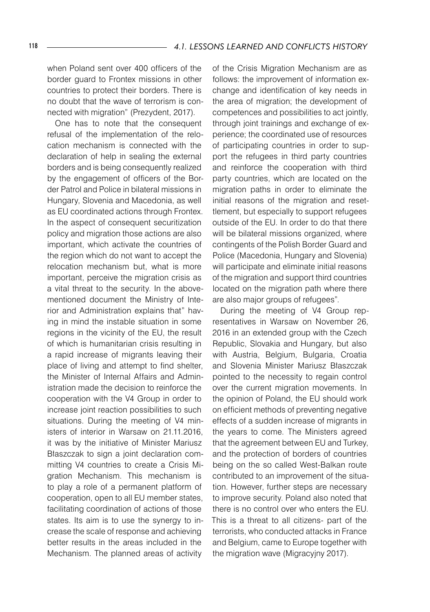when Poland sent over 400 officers of the border guard to Frontex missions in other countries to protect their borders. There is no doubt that the wave of terrorism is connected with migration" (Prezydent, 2017).

One has to note that the consequent refusal of the implementation of the relocation mechanism is connected with the declaration of help in sealing the external borders and is being consequently realized by the engagement of officers of the Border Patrol and Police in bilateral missions in Hungary, Slovenia and Macedonia, as well as EU coordinated actions through Frontex. In the aspect of consequent securitization policy and migration those actions are also important, which activate the countries of the region which do not want to accept the relocation mechanism but, what is more important, perceive the migration crisis as a vital threat to the security. In the abovementioned document the Ministry of Interior and Administration explains that" having in mind the instable situation in some regions in the vicinity of the EU, the result of which is humanitarian crisis resulting in a rapid increase of migrants leaving their place of living and attempt to find shelter, the Minister of Internal Affairs and Administration made the decision to reinforce the cooperation with the V4 Group in order to increase joint reaction possibilities to such situations. During the meeting of V4 ministers of interior in Warsaw on 21.11.2016, it was by the initiative of Minister Mariusz Błaszczak to sign a joint declaration committing V4 countries to create a Crisis Migration Mechanism. This mechanism is to play a role of a permanent platform of cooperation, open to all EU member states, facilitating coordination of actions of those states. Its aim is to use the synergy to increase the scale of response and achieving better results in the areas included in the Mechanism. The planned areas of activity

of the Crisis Migration Mechanism are as follows: the improvement of information exchange and identification of key needs in the area of migration; the development of competences and possibilities to act jointly, through joint trainings and exchange of experience; the coordinated use of resources of participating countries in order to support the refugees in third party countries and reinforce the cooperation with third party countries, which are located on the migration paths in order to eliminate the initial reasons of the migration and resettlement, but especially to support refugees outside of the EU. In order to do that there will be bilateral missions organized, where contingents of the Polish Border Guard and Police (Macedonia, Hungary and Slovenia) will participate and eliminate initial reasons of the migration and support third countries located on the migration path where there are also major groups of refugees".

During the meeting of V4 Group representatives in Warsaw on November 26, 2016 in an extended group with the Czech Republic, Slovakia and Hungary, but also with Austria, Belgium, Bulgaria, Croatia and Slovenia Minister Mariusz Błaszczak pointed to the necessity to regain control over the current migration movements. In the opinion of Poland, the EU should work on efficient methods of preventing negative effects of a sudden increase of migrants in the years to come. The Ministers agreed that the agreement between EU and Turkey, and the protection of borders of countries being on the so called West-Balkan route contributed to an improvement of the situation. However, further steps are necessary to improve security. Poland also noted that there is no control over who enters the EU. This is a threat to all citizens- part of the terrorists, who conducted attacks in France and Belgium, came to Europe together with the migration wave (Migracyjny 2017).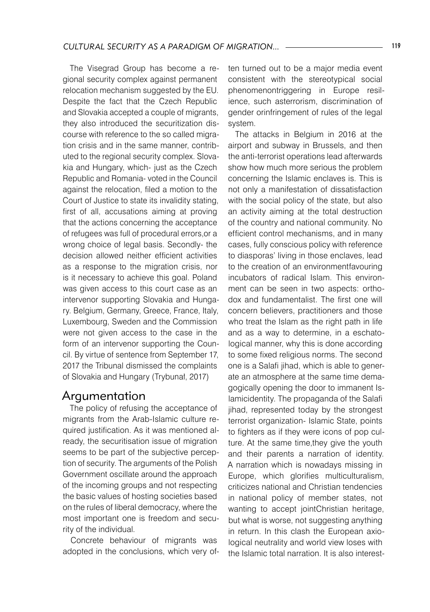The Visegrad Group has become a regional security complex against permanent relocation mechanism suggested by the EU. Despite the fact that the Czech Republic and Slovakia accepted a couple of migrants, they also introduced the securitization discourse with reference to the so called migration crisis and in the same manner, contributed to the regional security complex. Slovakia and Hungary, which- just as the Czech Republic and Romania- voted in the Council against the relocation, filed a motion to the Court of Justice to state its invalidity stating, first of all, accusations aiming at proving that the actions concerning the acceptance of refugees was full of procedural errors,or a wrong choice of legal basis. Secondly- the decision allowed neither efficient activities as a response to the migration crisis, nor is it necessary to achieve this goal. Poland was given access to this court case as an intervenor supporting Slovakia and Hungary. Belgium, Germany, Greece, France, Italy, Luxembourg, Sweden and the Commission were not given access to the case in the form of an intervenor supporting the Council. By virtue of sentence from September 17, 2017 the Tribunal dismissed the complaints of Slovakia and Hungary (Trybunał, 2017)

#### Argumentation

The policy of refusing the acceptance of migrants from the Arab-Islamic culture required justification. As it was mentioned already, the securitisation issue of migration seems to be part of the subjective perception of security. The arguments of the Polish Government oscillate around the approach of the incoming groups and not respecting the basic values of hosting societies based on the rules of liberal democracy, where the most important one is freedom and security of the individual.

Concrete behaviour of migrants was adopted in the conclusions, which very often turned out to be a major media event consistent with the stereotypical social phenomenontriggering in Europe resilience, such asterrorism, discrimination of gender orinfringement of rules of the legal system.

The attacks in Belgium in 2016 at the airport and subway in Brussels, and then the anti-terrorist operations lead afterwards show how much more serious the problem concerning the Islamic enclaves is. This is not only a manifestation of dissatisfaction with the social policy of the state, but also an activity aiming at the total destruction of the country and national community. No efficient control mechanisms, and in many cases, fully conscious policy with reference to diasporas' living in those enclaves, lead to the creation of an environmentfavouring incubators of radical Islam. This environment can be seen in two aspects: orthodox and fundamentalist. The first one will concern believers, practitioners and those who treat the Islam as the right path in life and as a way to determine, in a eschatological manner, why this is done according to some fixed religious norms. The second one is a Salafi jihad, which is able to generate an atmosphere at the same time demagogically opening the door to immanent Islamicidentity. The propaganda of the Salafi jihad, represented today by the strongest terrorist organization- Islamic State, points to fighters as if they were icons of pop culture. At the same time,they give the youth and their parents a narration of identity. A narration which is nowadays missing in Europe, which glorifies multiculturalism, criticizes national and Christian tendencies in national policy of member states, not wanting to accept jointChristian heritage, but what is worse, not suggesting anything in return. In this clash the European axiological neutrality and world view loses with the Islamic total narration. It is also interest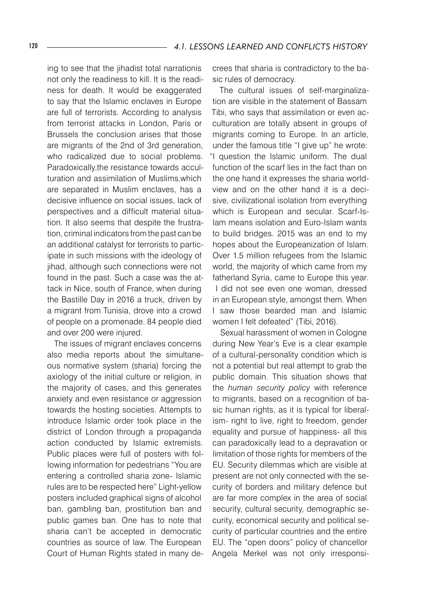ing to see that the jihadist total narrationis not only the readiness to kill. It is the readiness for death. It would be exaggerated to say that the Islamic enclaves in Europe are full of terrorists. According to analysis from terrorist attacks in London, Paris or Brussels the conclusion arises that those are migrants of the 2nd of 3rd generation, who radicalized due to social problems. Paradoxically,the resistance towards acculturation and assimilation of Muslims,which are separated in Muslim enclaves, has a decisive influence on social issues, lack of perspectives and a difficult material situation. It also seems that despite the frustration, criminal indicators from the past can be an additional catalyst for terrorists to participate in such missions with the ideology of iihad, although such connections were not found in the past. Such a case was the attack in Nice, south of France, when during the Bastille Day in 2016 a truck, driven by a migrant from Tunisia, drove into a crowd of people on a promenade. 84 people died and over 200 were injured.

The issues of migrant enclaves concerns also media reports about the simultaneous normative system (sharia) forcing the axiology of the initial culture or religion, in the majority of cases, and this generates anxiety and even resistance or aggression towards the hosting societies. Attempts to introduce Islamic order took place in the district of London through a propaganda action conducted by Islamic extremists. Public places were full of posters with following information for pedestrians "You are entering a controlled sharia zone- Islamic rules are to be respected here" Light-yellow posters included graphical signs of alcohol ban, gambling ban, prostitution ban and public games ban. One has to note that sharia can't be accepted in democratic countries as source of law. The European Court of Human Rights stated in many decrees that sharia is contradictory to the basic rules of democracy.

The cultural issues of self-marginalization are visible in the statement of Bassam Tibi, who says that assimilation or even acculturation are totally absent in groups of migrants coming to Europe. In an article, under the famous title "I give up" he wrote: "I question the Islamic uniform. The dual function of the scarf lies in the fact than on the one hand it expresses the sharia worldview and on the other hand it is a decisive, civilizational isolation from everything which is European and secular. Scarf-Islam means isolation and Euro-Islam wants to build bridges. 2015 was an end to my hopes about the Europeanization of Islam. Over 1.5 million refugees from the Islamic world, the majority of which came from my fatherland Syria, came to Europe this year. I did not see even one woman, dressed in an European style, amongst them. When I saw those bearded man and Islamic women I felt defeated" (Tibi, 2016).

Sexual harassment of women in Cologne during New Year's Eve is a clear example of a cultural-personality condition which is not a potential but real attempt to grab the public domain. This situation shows that the *human security policy* with reference to migrants, based on a recognition of basic human rights, as it is typical for liberalism- right to live, right to freedom, gender equality and pursue of happiness- all this can paradoxically lead to a depravation or limitation of those rights for members of the EU. Security dilemmas which are visible at present are not only connected with the security of borders and military defence but are far more complex in the area of social security, cultural security, demographic security, economical security and political security of particular countries and the entire EU. The "open doors" policy of chancellor Angela Merkel was not only irresponsi-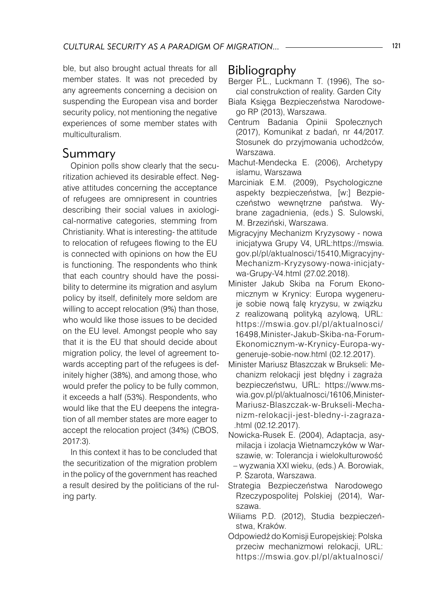ble, but also brought actual threats for all member states. It was not preceded by any agreements concerning a decision on suspending the European visa and border security policy, not mentioning the negative experiences of some member states with multiculturalism.

### Summary

Opinion polls show clearly that the securitization achieved its desirable effect. Negative attitudes concerning the acceptance of refugees are omnipresent in countries describing their social values in axiological-normative categories, stemming from Christianity. What is interesting- the attitude to relocation of refugees flowing to the EU is connected with opinions on how the EU is functioning. The respondents who think that each country should have the possibility to determine its migration and asylum policy by itself, definitely more seldom are willing to accept relocation (9%) than those, who would like those issues to be decided on the EU level. Amongst people who say that it is the EU that should decide about migration policy, the level of agreement towards accepting part of the refugees is definitely higher (38%), and among those, who would prefer the policy to be fully common, it exceeds a half (53%). Respondents, who would like that the EU deepens the integration of all member states are more eager to accept the relocation project (34%) (CBOS, 2017:3).

In this context it has to be concluded that the securitization of the migration problem in the policy of the government has reached a result desired by the politicians of the ruling party.

## Bibliography

- Berger P.L., Luckmann T. (1996), The social construkction of reality. Garden City
- Biała Księga Bezpieczeństwa Narodowego RP (2013), Warszawa.
- Centrum Badania Opinii Społecznych (2017), Komunikat z badań, nr 44/2017. Stosunek do przyjmowania uchodźców, Warszawa.
- Machut-Mendecka E. (2006), Archetypy islamu, Warszawa
- Marciniak E.M. (2009), Psychologiczne aspekty bezpieczeństwa, [w:] Bezpieczeństwo wewnętrzne państwa. Wybrane zagadnienia, (eds.) S. Sulowski, M. Brzeziński, Warszawa.
- Migracyjny Mechanizm Kryzysowy nowa inicjatywa Grupy V4, URL:https://mswia. gov.pl/pl/aktualnosci/15410,Migracyjny-Mechanizm-Kryzysowy-nowa-inicjatywa-Grupy-V4.html (27.02.2018).
- Minister Jakub Skiba na Forum Ekonomicznym w Krynicy: Europa wygeneruje sobie nową falę kryzysu, w związku z realizowaną polityką azylową, URL: https://mswia.gov.pl/pl/aktualnosci/ 16498,Minister-Jakub-Skiba-na-Forum-Ekonomicznym-w-Krynicy-Europa-wygeneruje-sobie-now.html (02.12.2017).
- Minister Mariusz Błaszczak w Brukseli: Mechanizm relokacji jest błędny i zagraża bezpieczeństwu, URL: https://www.mswia.gov.pl/pl/aktualnosci/16106,Minister-Mariusz-Blaszczak-w-Brukseli-Mechanizm-relokacji-jest-bledny-i-zagraza- .html (02.12.2017).
- Nowicka-Rusek E. (2004), Adaptacja, asymilacja i izolacja Wietnamczyków w Warszawie, w: Tolerancja i wielokulturowość – wyzwania XXI wieku, (eds.) A. Borowiak,
	- P. Szarota, Warszawa.
- Strategia Bezpieczeństwa Narodowego Rzeczypospolitej Polskiej (2014), Warszawa.
- Wiliams P.D. (2012), Studia bezpieczeństwa, Kraków.
- Odpowiedź do Komisji Europejskiej: Polska przeciw mechanizmowi relokacji, URL: https://mswia.gov.pl/pl/aktualnosci/